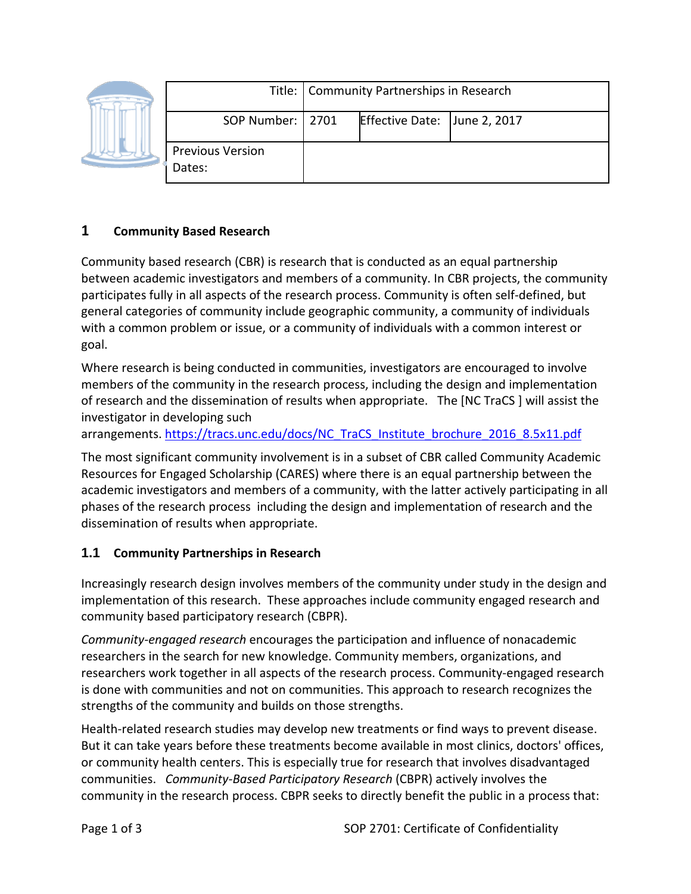|  |                                   | Title:   Community Partnerships in Research |                              |  |
|--|-----------------------------------|---------------------------------------------|------------------------------|--|
|  | SOP Number:   2701                |                                             | Effective Date: June 2, 2017 |  |
|  | <b>Previous Version</b><br>Dates: |                                             |                              |  |

## **1 Community Based Research**

Community based research (CBR) is research that is conducted as an equal partnership between academic investigators and members of a community. In CBR projects, the community participates fully in all aspects of the research process. Community is often self-defined, but general categories of community include geographic community, a community of individuals with a common problem or issue, or a community of individuals with a common interest or goal.

Where research is being conducted in communities, investigators are encouraged to involve members of the community in the research process, including the design and implementation of research and the dissemination of results when appropriate. The [NC TraCS ] will assist the investigator in developing such

arrangements. [https://tracs.unc.edu/docs/NC\\_TraCS\\_Institute\\_brochure\\_2016\\_8.5x11.pdf](https://tracs.unc.edu/docs/NC_TraCS_Institute_brochure_2016_8.5x11.pdf)

The most significant community involvement is in a subset of CBR called Community Academic Resources for Engaged Scholarship (CARES) where there is an equal partnership between the academic investigators and members of a community, with the latter actively participating in all phases of the research process including the design and implementation of research and the dissemination of results when appropriate.

## **1.1 Community Partnerships in Research**

Increasingly research design involves members of the community under study in the design and implementation of this research. These approaches include community engaged research and community based participatory research (CBPR).

*Community-engaged research* encourages the participation and influence of nonacademic researchers in the search for new knowledge. Community members, organizations, and researchers work together in all aspects of the research process. Community-engaged research is done with communities and not on communities. This approach to research recognizes the strengths of the community and builds on those strengths.

Health-related research studies may develop new treatments or find ways to prevent disease. But it can take years before these treatments become available in most clinics, doctors' offices, or community health centers. This is especially true for research that involves disadvantaged communities. *Community-Based Participatory Research* (CBPR) actively involves the community in the research process. CBPR seeks to directly benefit the public in a process that: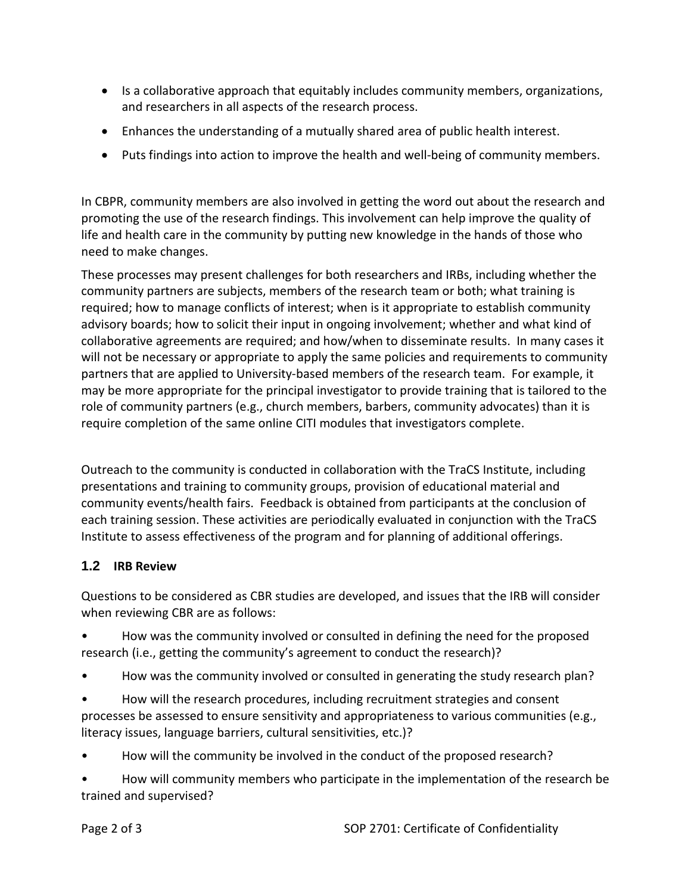- Is a collaborative approach that equitably includes community members, organizations, and researchers in all aspects of the research process.
- Enhances the understanding of a mutually shared area of public health interest.
- Puts findings into action to improve the health and well-being of community members.

In CBPR, community members are also involved in getting the word out about the research and promoting the use of the research findings. This involvement can help improve the quality of life and health care in the community by putting new knowledge in the hands of those who need to make changes.

These processes may present challenges for both researchers and IRBs, including whether the community partners are subjects, members of the research team or both; what training is required; how to manage conflicts of interest; when is it appropriate to establish community advisory boards; how to solicit their input in ongoing involvement; whether and what kind of collaborative agreements are required; and how/when to disseminate results. In many cases it will not be necessary or appropriate to apply the same policies and requirements to community partners that are applied to University-based members of the research team. For example, it may be more appropriate for the principal investigator to provide training that is tailored to the role of community partners (e.g., church members, barbers, community advocates) than it is require completion of the same online CITI modules that investigators complete.

Outreach to the community is conducted in collaboration with the TraCS Institute, including presentations and training to community groups, provision of educational material and community events/health fairs. Feedback is obtained from participants at the conclusion of each training session. These activities are periodically evaluated in conjunction with the TraCS Institute to assess effectiveness of the program and for planning of additional offerings.

## **1.2 IRB Review**

Questions to be considered as CBR studies are developed, and issues that the IRB will consider when reviewing CBR are as follows:

• How was the community involved or consulted in defining the need for the proposed research (i.e., getting the community's agreement to conduct the research)?

- How was the community involved or consulted in generating the study research plan?
- How will the research procedures, including recruitment strategies and consent processes be assessed to ensure sensitivity and appropriateness to various communities (e.g., literacy issues, language barriers, cultural sensitivities, etc.)?

• How will the community be involved in the conduct of the proposed research?

• How will community members who participate in the implementation of the research be trained and supervised?